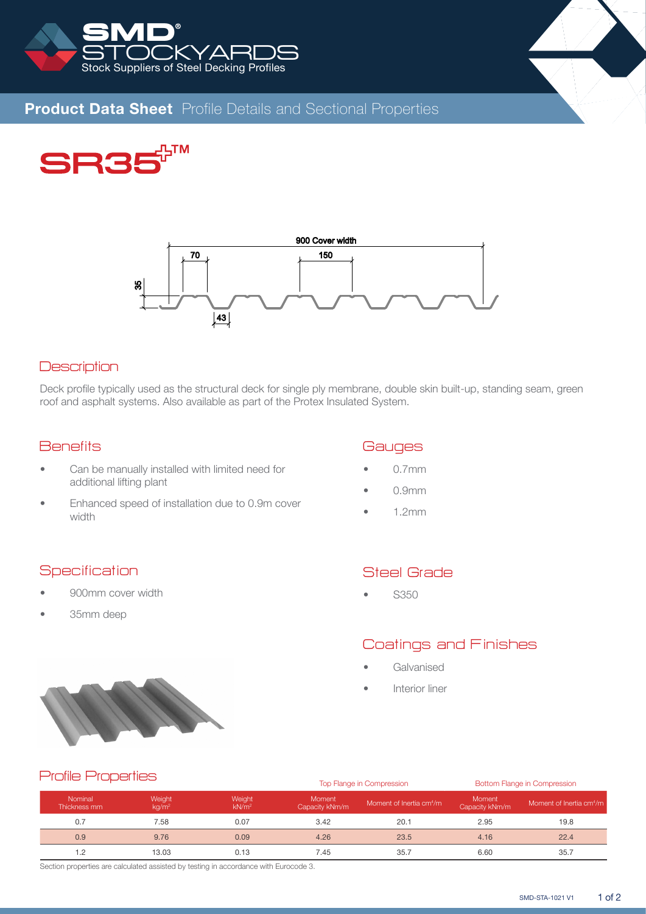



# **Product Data Sheet** Profile Details and Sectional Properties





## **Description**

Deck profile typically used as the structural deck for single ply membrane, double skin built-up, standing seam, green roof and asphalt systems. Also available as part of the Protex Insulated System.

## **Benefits**

- Can be manually installed with limited need for additional lifting plant
- Enhanced speed of installation due to 0.9m cover width

#### **Gauges**

- 0.7mm
- 0.9mm
- 1.2mm

## **Specification**

- 900mm cover width
- 35mm deep

# Steel Grade

• S350

# Coatings and Finishes

- **Galvanised**
- Interior liner



## Profile Properties

|                         |                         |                             |                          | Top Flange in Compression            | Bottom Flange in Compression |                                      |  |  |  |
|-------------------------|-------------------------|-----------------------------|--------------------------|--------------------------------------|------------------------------|--------------------------------------|--|--|--|
| Nominal<br>Thickness mm | Weight<br>$k\alpha/m^2$ | Weight<br>kN/m <sup>2</sup> | Moment<br>Capacity kNm/m | Moment of Inertia cm <sup>4</sup> /m | Moment<br>Capacity kNm/m     | Moment of Inertia cm <sup>4</sup> /m |  |  |  |
| 0.7                     | 7.58                    | 0.07                        | 3.42                     | 20.1                                 | 2.95                         | 19.8                                 |  |  |  |
| 0.9                     | 9.76                    | 0.09                        | 4.26                     | 23.5                                 | 4.16                         | 22.4                                 |  |  |  |
| 1.2                     | 13.03                   | 0.13                        | 7.45                     | 35.7                                 | 6.60                         | 35.7                                 |  |  |  |

Section properties are calculated assisted by testing in accordance with Eurocode 3.